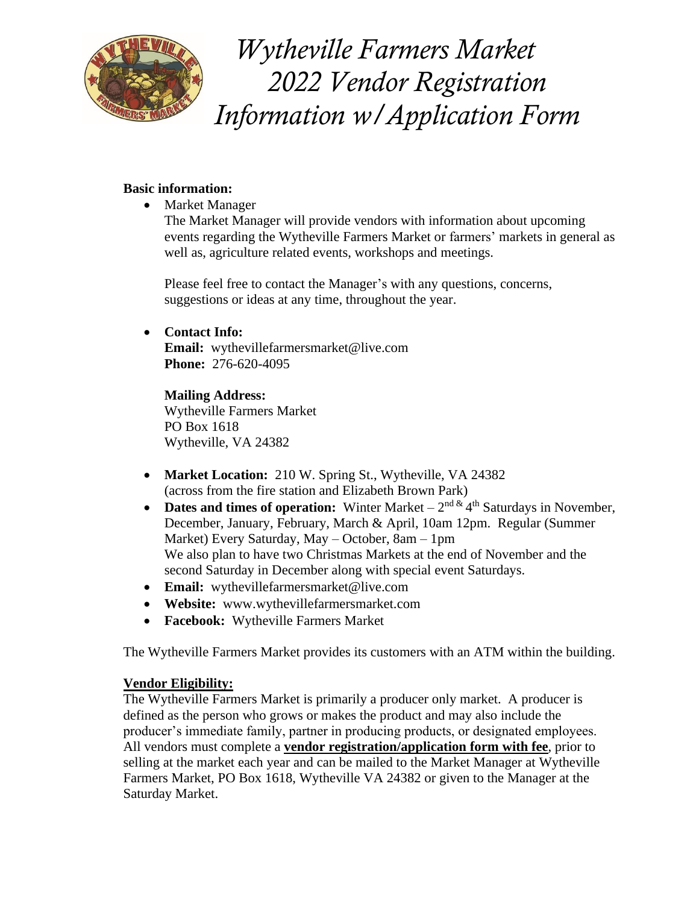

 *Wytheville Farmers Market 2022 Vendor Registration Information w/Application Form*

# **Basic information:**

• Market Manager

The Market Manager will provide vendors with information about upcoming events regarding the Wytheville Farmers Market or farmers' markets in general as well as, agriculture related events, workshops and meetings.

Please feel free to contact the Manager's with any questions, concerns, suggestions or ideas at any time, throughout the year.

# • **Contact Info:**

**Email:** wythevillefarmersmarket@live.com **Phone:** 276-620-4095

**Mailing Address:** Wytheville Farmers Market PO Box 1618 Wytheville, VA 24382

- **Market Location:** 210 W. Spring St., Wytheville, VA 24382 (across from the fire station and Elizabeth Brown Park)
- **Dates and times of operation:** Winter Market  $-2^{nd \& 4^{th}}$  Saturdays in November, December, January, February, March & April, 10am 12pm. Regular (Summer Market) Every Saturday, May – October, 8am – 1pm We also plan to have two Christmas Markets at the end of November and the second Saturday in December along with special event Saturdays.
- **Email:** wythevillefarmersmarket@live.com
- **Website:** www.wythevillefarmersmarket.com
- **Facebook:** Wytheville Farmers Market

The Wytheville Farmers Market provides its customers with an ATM within the building.

# **Vendor Eligibility:**

The Wytheville Farmers Market is primarily a producer only market. A producer is defined as the person who grows or makes the product and may also include the producer's immediate family, partner in producing products, or designated employees. All vendors must complete a **vendor registration/application form with fee**, prior to selling at the market each year and can be mailed to the Market Manager at Wytheville Farmers Market, PO Box 1618, Wytheville VA 24382 or given to the Manager at the Saturday Market.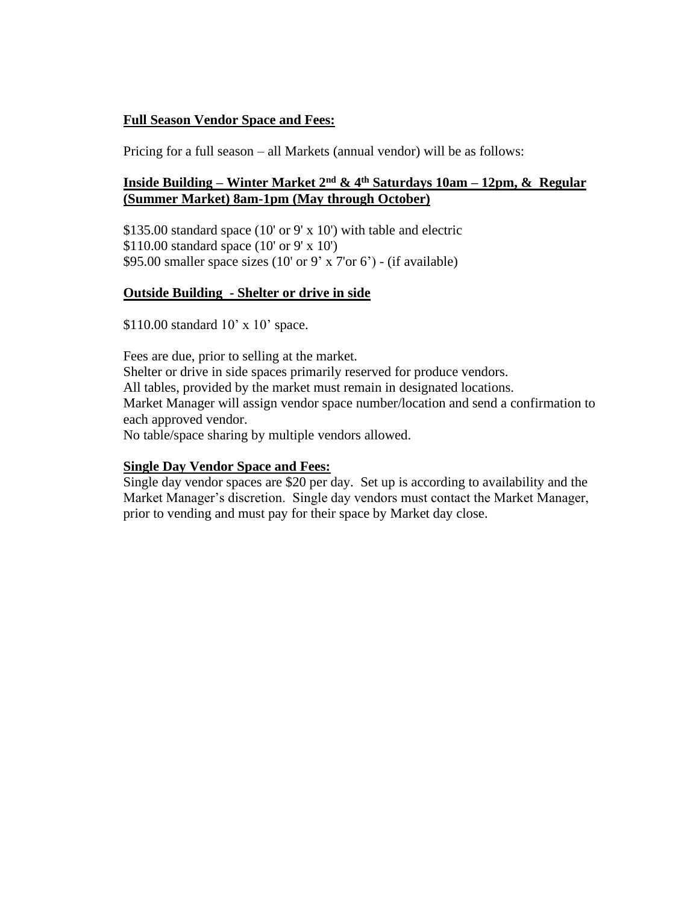# **Full Season Vendor Space and Fees:**

Pricing for a full season – all Markets (annual vendor) will be as follows:

# **Inside Building – Winter Market 2nd & 4th Saturdays 10am – 12pm, & Regular (Summer Market) 8am-1pm (May through October)**

\$135.00 standard space (10' or 9' x 10') with table and electric \$110.00 standard space (10' or 9' x 10') \$95.00 smaller space sizes  $(10' \text{ or } 9' \text{ x } 7' \text{ or } 6')$  -  $(\text{if available})$ 

## **Outside Building - Shelter or drive in side**

\$110.00 standard 10' x 10' space.

Fees are due, prior to selling at the market. Shelter or drive in side spaces primarily reserved for produce vendors. All tables, provided by the market must remain in designated locations. Market Manager will assign vendor space number/location and send a confirmation to each approved vendor. No table/space sharing by multiple vendors allowed.

# **Single Day Vendor Space and Fees:**

Single day vendor spaces are \$20 per day. Set up is according to availability and the Market Manager's discretion. Single day vendors must contact the Market Manager, prior to vending and must pay for their space by Market day close.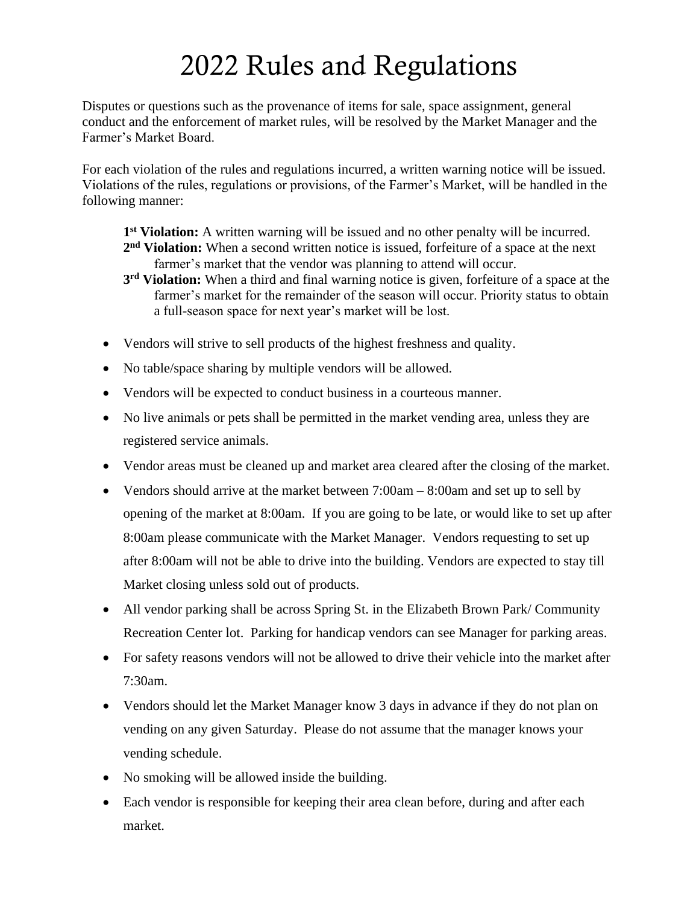# 2022 Rules and Regulations

Disputes or questions such as the provenance of items for sale, space assignment, general conduct and the enforcement of market rules, will be resolved by the Market Manager and the Farmer's Market Board.

For each violation of the rules and regulations incurred, a written warning notice will be issued. Violations of the rules, regulations or provisions, of the Farmer's Market, will be handled in the following manner:

**1 st Violation:** A written warning will be issued and no other penalty will be incurred. **2 nd Violation:** When a second written notice is issued, forfeiture of a space at the next farmer's market that the vendor was planning to attend will occur.

- **3 rd Violation:** When a third and final warning notice is given, forfeiture of a space at the farmer's market for the remainder of the season will occur. Priority status to obtain a full-season space for next year's market will be lost.
- Vendors will strive to sell products of the highest freshness and quality.
- No table/space sharing by multiple vendors will be allowed.
- Vendors will be expected to conduct business in a courteous manner.
- No live animals or pets shall be permitted in the market vending area, unless they are registered service animals.
- Vendor areas must be cleaned up and market area cleared after the closing of the market.
- Vendors should arrive at the market between 7:00am 8:00am and set up to sell by opening of the market at 8:00am. If you are going to be late, or would like to set up after 8:00am please communicate with the Market Manager. Vendors requesting to set up after 8:00am will not be able to drive into the building. Vendors are expected to stay till Market closing unless sold out of products.
- All vendor parking shall be across Spring St. in the Elizabeth Brown Park/ Community Recreation Center lot. Parking for handicap vendors can see Manager for parking areas.
- For safety reasons vendors will not be allowed to drive their vehicle into the market after 7:30am.
- Vendors should let the Market Manager know 3 days in advance if they do not plan on vending on any given Saturday. Please do not assume that the manager knows your vending schedule.
- No smoking will be allowed inside the building.
- Each vendor is responsible for keeping their area clean before, during and after each market.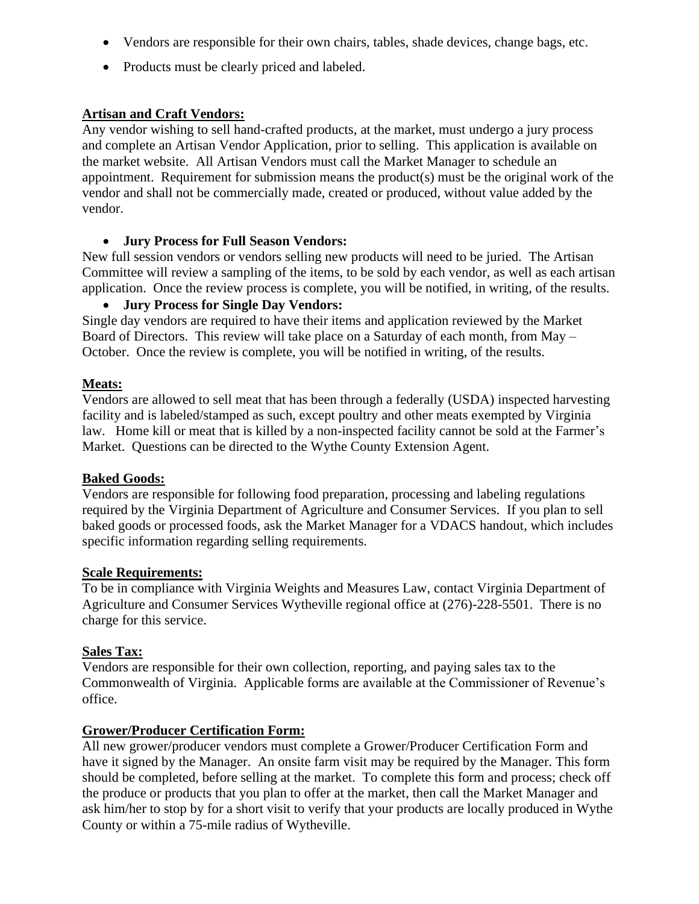- Vendors are responsible for their own chairs, tables, shade devices, change bags, etc.
- Products must be clearly priced and labeled.

## **Artisan and Craft Vendors:**

Any vendor wishing to sell hand-crafted products, at the market, must undergo a jury process and complete an Artisan Vendor Application, prior to selling. This application is available on the market website. All Artisan Vendors must call the Market Manager to schedule an appointment. Requirement for submission means the product(s) must be the original work of the vendor and shall not be commercially made, created or produced, without value added by the vendor.

• **Jury Process for Full Season Vendors:**

New full session vendors or vendors selling new products will need to be juried. The Artisan Committee will review a sampling of the items, to be sold by each vendor, as well as each artisan application. Once the review process is complete, you will be notified, in writing, of the results.

#### • **Jury Process for Single Day Vendors:**

Single day vendors are required to have their items and application reviewed by the Market Board of Directors. This review will take place on a Saturday of each month, from May – October. Once the review is complete, you will be notified in writing, of the results.

#### **Meats:**

Vendors are allowed to sell meat that has been through a federally (USDA) inspected harvesting facility and is labeled/stamped as such, except poultry and other meats exempted by Virginia law. Home kill or meat that is killed by a non-inspected facility cannot be sold at the Farmer's Market. Questions can be directed to the Wythe County Extension Agent.

#### **Baked Goods:**

Vendors are responsible for following food preparation, processing and labeling regulations required by the Virginia Department of Agriculture and Consumer Services. If you plan to sell baked goods or processed foods, ask the Market Manager for a VDACS handout, which includes specific information regarding selling requirements.

#### **Scale Requirements:**

To be in compliance with Virginia Weights and Measures Law, contact Virginia Department of Agriculture and Consumer Services Wytheville regional office at (276)-228-5501. There is no charge for this service.

#### **Sales Tax:**

Vendors are responsible for their own collection, reporting, and paying sales tax to the Commonwealth of Virginia. Applicable forms are available at the Commissioner of Revenue's office.

#### **Grower/Producer Certification Form:**

All new grower/producer vendors must complete a Grower/Producer Certification Form and have it signed by the Manager. An onsite farm visit may be required by the Manager. This form should be completed, before selling at the market. To complete this form and process; check off the produce or products that you plan to offer at the market, then call the Market Manager and ask him/her to stop by for a short visit to verify that your products are locally produced in Wythe County or within a 75-mile radius of Wytheville.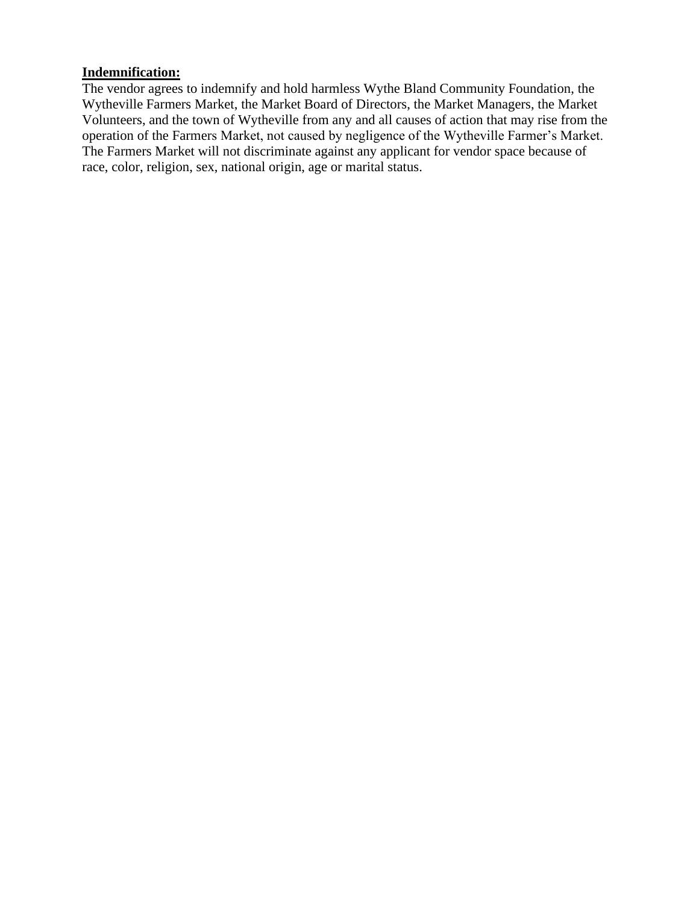#### **Indemnification:**

The vendor agrees to indemnify and hold harmless Wythe Bland Community Foundation, the Wytheville Farmers Market, the Market Board of Directors, the Market Managers, the Market Volunteers, and the town of Wytheville from any and all causes of action that may rise from the operation of the Farmers Market, not caused by negligence of the Wytheville Farmer's Market. The Farmers Market will not discriminate against any applicant for vendor space because of race, color, religion, sex, national origin, age or marital status.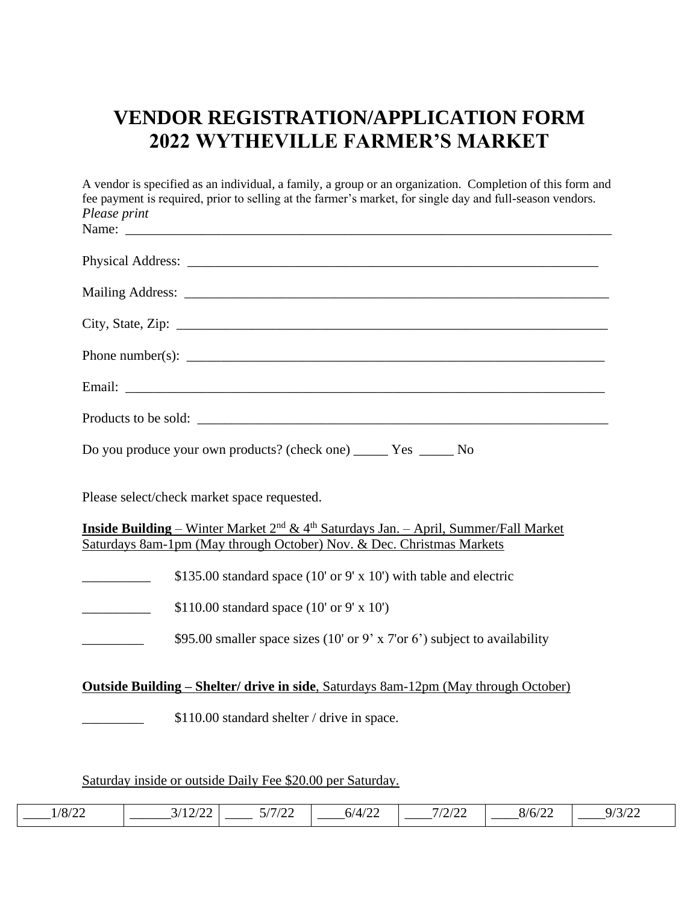# **VENDOR REGISTRATION/APPLICATION FORM 2022 WYTHEVILLE FARMER'S MARKET**

| A vendor is specified as an individual, a family, a group or an organization. Completion of this form and<br>fee payment is required, prior to selling at the farmer's market, for single day and full-season vendors.<br>Please print |
|----------------------------------------------------------------------------------------------------------------------------------------------------------------------------------------------------------------------------------------|
|                                                                                                                                                                                                                                        |
|                                                                                                                                                                                                                                        |
|                                                                                                                                                                                                                                        |
|                                                                                                                                                                                                                                        |
|                                                                                                                                                                                                                                        |
|                                                                                                                                                                                                                                        |
| Products to be sold:                                                                                                                                                                                                                   |
| Do you produce your own products? (check one) _______ Yes _______ No                                                                                                                                                                   |
| Please select/check market space requested.                                                                                                                                                                                            |
| <b>Inside Building</b> – Winter Market 2 <sup>nd</sup> & 4 <sup>th</sup> Saturdays Jan. – April, Summer/Fall Market<br>Saturdays 8am-1pm (May through October) Nov. & Dec. Christmas Markets                                           |
| \$135.00 standard space (10' or 9' x 10') with table and electric<br>$\overline{\phantom{a}}$                                                                                                                                          |
| \$110.00 standard space $(10' \text{ or } 9' \text{ x } 10')$                                                                                                                                                                          |
| \$95.00 smaller space sizes (10' or 9' x 7' or 6') subject to availability                                                                                                                                                             |
| <b>Outside Building – Shelter/ drive in side, Saturdays 8am-12pm (May through October)</b>                                                                                                                                             |
| \$110.00 standard shelter / drive in space.                                                                                                                                                                                            |
|                                                                                                                                                                                                                                        |
| Saturday inside or outside Daily Fee \$20.00 per Saturday.                                                                                                                                                                             |

\_\_\_\_1/8/22 \_\_\_\_\_\_3/12/22 \_\_\_\_ 5/7/22 \_\_\_\_6/4/22 \_\_\_\_7/2/22 \_\_\_\_8/6/22 \_\_\_\_9/3/22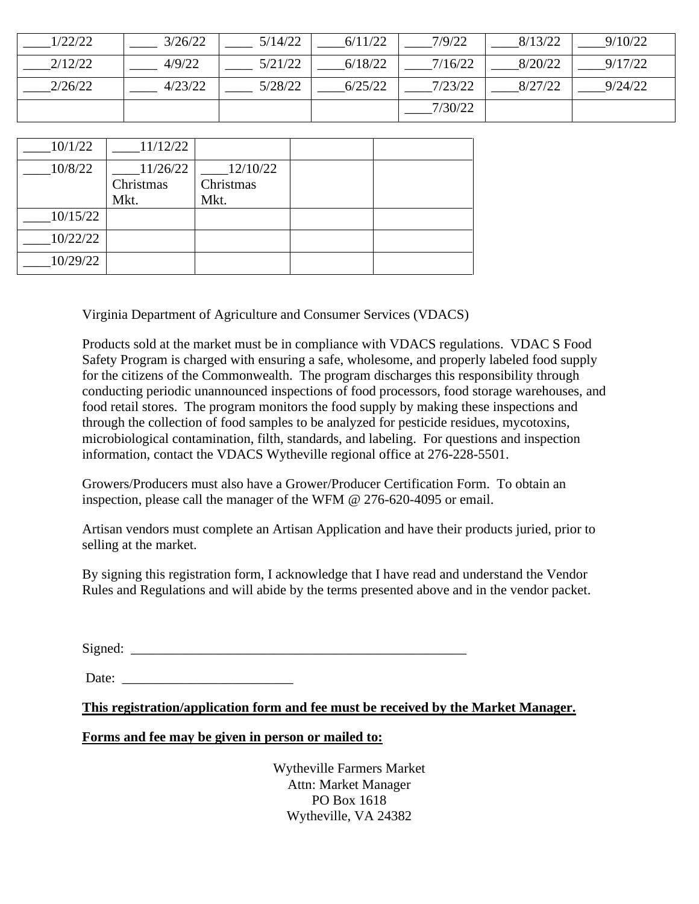| 1/22/22 | 3/26/22 | 5/14/22 | 6/11/22 | 7/9/22  | 8/13/22 | 9/10/22 |
|---------|---------|---------|---------|---------|---------|---------|
| 2/12/22 | 4/9/22  | 5/21/22 | 6/18/22 | 7/16/22 | 8/20/22 | 9/17/22 |
| 2/26/22 | 4/23/22 | 5/28/22 | 6/25/22 | 7/23/22 | 8/27/22 | 9/24/22 |
|         |         |         |         | 7/30/22 |         |         |

| 10/1/22  | 11/12/22  |           |  |
|----------|-----------|-----------|--|
| 10/8/22  | 11/26/22  | 12/10/22  |  |
|          | Christmas | Christmas |  |
|          | Mkt.      | Mkt.      |  |
| 10/15/22 |           |           |  |
| 10/22/22 |           |           |  |
| 10/29/22 |           |           |  |

Virginia Department of Agriculture and Consumer Services (VDACS)

Products sold at the market must be in compliance with VDACS regulations. VDAC S Food Safety Program is charged with ensuring a safe, wholesome, and properly labeled food supply for the citizens of the Commonwealth. The program discharges this responsibility through conducting periodic unannounced inspections of food processors, food storage warehouses, and food retail stores. The program monitors the food supply by making these inspections and through the collection of food samples to be analyzed for pesticide residues, mycotoxins, microbiological contamination, filth, standards, and labeling. For questions and inspection information, contact the VDACS Wytheville regional office at 276-228-5501.

Growers/Producers must also have a Grower/Producer Certification Form. To obtain an inspection, please call the manager of the WFM @ 276-620-4095 or email.

Artisan vendors must complete an Artisan Application and have their products juried, prior to selling at the market.

By signing this registration form, I acknowledge that I have read and understand the Vendor Rules and Regulations and will abide by the terms presented above and in the vendor packet.

 $Signal: \_\_$ 

Date:

**This registration/application form and fee must be received by the Market Manager.**

#### **Forms and fee may be given in person or mailed to:**

Wytheville Farmers Market Attn: Market Manager PO Box 1618 Wytheville, VA 24382